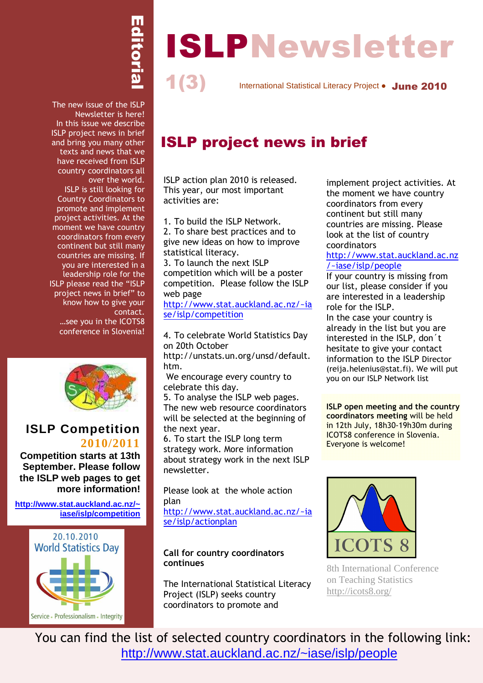# Editorial

1(3)

# 1 ISLPNewsletter

International Statistical Literacy Project • June 2010

The new issue of the ISLP Newsletter is here! In this issue we describe ISLP project news in brief and bring you many other texts and news that we have received from ISLP country coordinators all over the world. ISLP is still looking for Country Coordinators to promote and implement project activities. At the moment we have country coordinators from every continent but still many countries are missing. If you are interested in a leadership role for the ISLP please read the "ISLP project news in brief" to know how to give your contact. …see you in the ICOTS8 conference in Slovenia!



# **ISLP Competition 2010/2011**

**Competition starts at 13th September. Please follow the ISLP web pages to get more information!** 

**http://www.stat.auckland.ac.nz/~ iase/islp/competition**



# ISLP project news in brief

ISLP action plan 2010 is released. This year, our most important activities are:

1. To build the ISLP Network.

2. To share best practices and to give new ideas on how to improve statistical literacy.

3. To launch the next ISLP competition which will be a poster competition. Please follow the ISLP web page

http://www.stat.auckland.ac.nz/~ia se/islp/competition

4. To celebrate World Statistics Day on 20th October

http://unstats.un.org/unsd/default. htm.

 We encourage every country to celebrate this day.

5. To analyse the ISLP web pages. The new web resource coordinators will be selected at the beginning of the next year.

6. To start the ISLP long term strategy work. More information about strategy work in the next ISLP newsletter.

Please look at the whole action plan

http://www.stat.auckland.ac.nz/~ia se/islp/actionplan

#### Call for country coordinators continues

The International Statistical Literacy Project (ISLP) seeks country coordinators to promote and

implement project activities. At the moment we have country coordinators from every continent but still many countries are missing. Please look at the list of country coordinators

#### http://www.stat.auckland.ac.nz /~iase/islp/people

If your country is missing from our list, please consider if you are interested in a leadership role for the ISLP.

In the case your country is already in the list but you are interested in the ISLP, don´t hesitate to give your contact information to the ISLP Director (reija.helenius@stat.fi). We will put you on our ISLP Network list

ISLP open meeting and the country coordinators meeting will be held in 12th July, 18h30-19h30m during ICOTS8 conference in Slovenia. Everyone is welcome!



8th International Conference on Teaching Statistics http://icots8.org/

You can find the list of selected country coordinators in the following link: http://www.stat.auckland.ac.nz/~iase/islp/people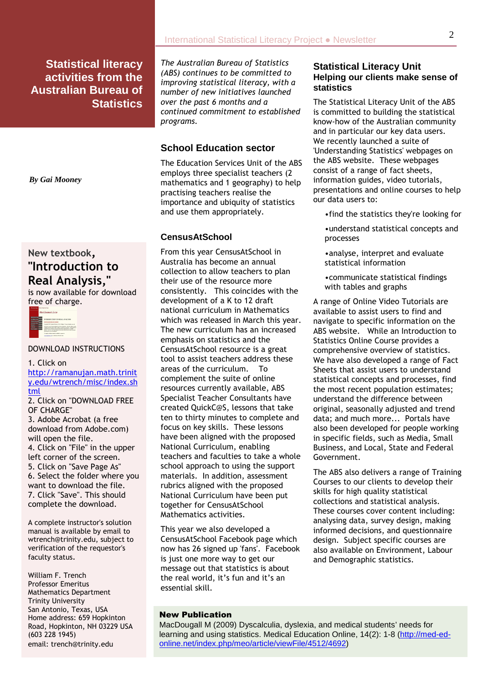# New textbook, "Introduction to Real Analysis,"

is now available for download free of charge.



#### DOWNLOAD INSTRUCTIONS

1. Click on http://ramanujan.math.trinit y.edu/wtrench/misc/index.sh tml

2. Click on "DOWNLOAD FREE OF CHARGE"

3. Adobe Acrobat (a free download from Adobe.com) will open the file. 4. Click on "File" in the upper left corner of the screen. 5. Click on "Save Page As" 6. Select the folder where you want to download the file. 7. Click "Save". This should complete the download.

A complete instructor's solution manual is available by email to wtrench@trinity.edu, subject to verification of the requestor's faculty status.

 email: trench@trinity.edu William F. Trench Professor Emeritus Mathematics Department Trinity University San Antonio, Texas, USA Home address: 659 Hopkinton Road, Hopkinton, NH 03229 USA (603 228 1945)

The Australian Bureau of Statistics (ABS) continues to be committed to improving statistical literacy, with a number of new initiatives launched over the past 6 months and a continued commitment to established programs.

#### **School Education sector**

The Education Services Unit of the ABS employs three specialist teachers (2 mathematics and 1 geography) to help practising teachers realise the importance and ubiquity of statistics and use them appropriately.

#### **CensusAtSchool**

From this year CensusAtSchool in Australia has become an annual collection to allow teachers to plan their use of the resource more consistently. This coincides with the development of a K to 12 draft national curriculum in Mathematics which was released in March this year. The new curriculum has an increased emphasis on statistics and the CensusAtSchool resource is a great tool to assist teachers address these areas of the curriculum. To complement the suite of online resources currently available, ABS Specialist Teacher Consultants have created QuickC@S, lessons that take ten to thirty minutes to complete and focus on key skills. These lessons have been aligned with the proposed National Curriculum, enabling teachers and faculties to take a whole school approach to using the support materials. In addition, assessment rubrics aligned with the proposed National Curriculum have been put together for CensusAtSchool Mathematics activities.

This year we also developed a CensusAtSchool Facebook page which now has 26 signed up 'fans'. Facebook is just one more way to get our message out that statistics is about the real world, it's fun and it's an essential skill.

#### **Statistical Literacy Unit Helping our clients make sense of statistics**

The Statistical Literacy Unit of the ABS is committed to building the statistical know-how of the Australian community and in particular our key data users. We recently launched a suite of 'Understanding Statistics' webpages on the ABS website. These webpages consist of a range of fact sheets, information guides, video tutorials, presentations and online courses to help our data users to:

- •find the statistics they're looking for
- •understand statistical concepts and processes
- •analyse, interpret and evaluate statistical information
- •communicate statistical findings with tables and graphs

A range of Online Video Tutorials are available to assist users to find and navigate to specific information on the ABS website. While an Introduction to Statistics Online Course provides a comprehensive overview of statistics. We have also developed a range of Fact Sheets that assist users to understand statistical concepts and processes, find the most recent population estimates; understand the difference between original, seasonally adjusted and trend data; and much more... Portals have also been developed for people working in specific fields, such as Media, Small Business, and Local, State and Federal Government.

The ABS also delivers a range of Training Courses to our clients to develop their skills for high quality statistical collections and statistical analysis. These courses cover content including: analysing data, survey design, making informed decisions, and questionnaire design. Subject specific courses are also available on Environment, Labour and Demographic statistics.

#### New Publication

MacDougall M (2009) Dyscalculia, dyslexia, and medical students' needs for learning and using statistics. Medical Education Online, 14(2): 1-8 (http://med-edonline.net/index.php/meo/article/viewFile/4512/4692)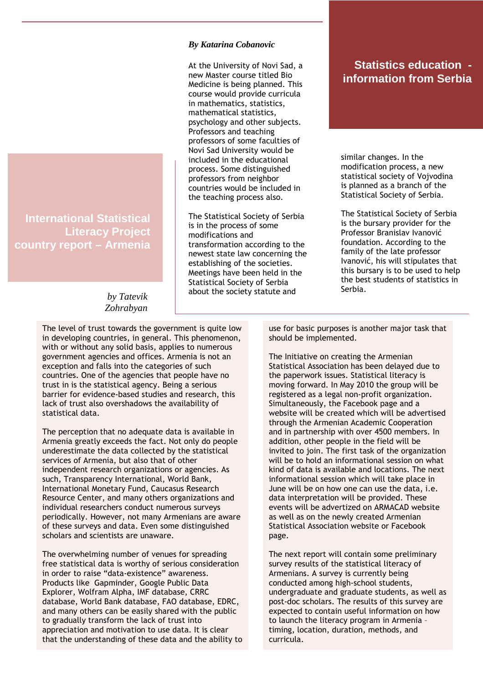**International Statistical Literacy Project country report – Armenia** 

> *by Tatevik Zohrabyan*

The level of trust towards the government is quite low in developing countries, in general. This phenomenon, with or without any solid basis, applies to numerous government agencies and offices. Armenia is not an exception and falls into the categories of such countries. One of the agencies that people have no trust in is the statistical agency. Being a serious barrier for evidence-based studies and research, this lack of trust also overshadows the availability of statistical data.

The perception that no adequate data is available in Armenia greatly exceeds the fact. Not only do people underestimate the data collected by the statistical services of Armenia, but also that of other independent research organizations or agencies. As such, Transparency International, World Bank, International Monetary Fund, Caucasus Research Resource Center, and many others organizations and individual researchers conduct numerous surveys periodically. However, not many Armenians are aware of these surveys and data. Even some distinguished scholars and scientists are unaware.

The overwhelming number of venues for spreading free statistical data is worthy of serious consideration in order to raise "data-existence" awareness. Products like Gapminder, Google Public Data Explorer, Wolfram Alpha, IMF database, CRRC database, World Bank database, FAO database, EDRC, and many others can be easily shared with the public to gradually transform the lack of trust into appreciation and motivation to use data. It is clear that the understanding of these data and the ability to use for basic purposes is another major task that should be implemented.

The Initiative on creating the Armenian Statistical Association has been delayed due to the paperwork issues. Statistical literacy is moving forward. In May 2010 the group will be registered as a legal non-profit organization. Simultaneously, the Facebook page and a website will be created which will be advertised through the Armenian Academic Cooperation and in partnership with over 4500 members. In addition, other people in the field will be invited to join. The first task of the organization will be to hold an informational session on what kind of data is available and locations. The next informational session which will take place in June will be on how one can use the data, i.e. data interpretation will be provided. These events will be advertized on ARMACAD website as well as on the newly created Armenian Statistical Association website or Facebook page.

The next report will contain some preliminary survey results of the statistical literacy of Armenians. A survey is currently being conducted among high-school students, undergraduate and graduate students, as well as post-doc scholars. The results of this survey are expected to contain useful information on how to launch the literacy program in Armenia – timing, location, duration, methods, and curricula.

*By Katarina Cobanovic* 

At the University of Novi Sad, a new Master course titled Bio Medicine is being planned. This course would provide curricula in mathematics, statistics, mathematical statistics, psychology and other subjects. Professors and teaching professors of some faculties of Novi Sad University would be included in the educational process. Some distinguished professors from neighbor countries would be included in the teaching process also.

The Statistical Society of Serbia is in the process of some modifications and transformation according to the newest state law concerning the establishing of the societies. Meetings have been held in the Statistical Society of Serbia about the society statute and

### **Statistics education information from Serbia**

similar changes. In the modification process, a new statistical society of Vojvodina is planned as a branch of the Statistical Society of Serbia.

The Statistical Society of Serbia is the bursary provider for the Professor Branislav Ivanović foundation. According to the family of the late professor Ivanović, his will stipulates that this bursary is to be used to help the best students of statistics in Serbia.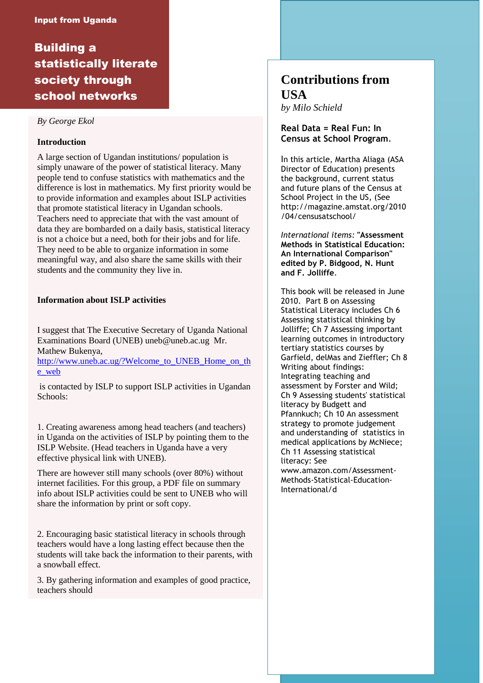# Building a statistically literate society through school networks

#### *By George Ekol*

#### **Introduction**

A large section of Ugandan institutions/ population is simply unaware of the power of statistical literacy. Many people tend to confuse statistics with mathematics and the difference is lost in mathematics. My first priority would be to provide information and examples about ISLP activities that promote statistical literacy in Ugandan schools. Teachers need to appreciate that with the vast amount of data they are bombarded on a daily basis, statistical literacy is not a choice but a need, both for their jobs and for life. They need to be able to organize information in some meaningful way, and also share the same skills with their students and the community they live in.

#### **Information about ISLP activities**

I suggest that The Executive Secretary of Uganda National Examinations Board (UNEB) uneb@uneb.ac.ug Mr. Mathew Bukenya,

http://www.uneb.ac.ug/?Welcome\_to\_UNEB\_Home\_on\_th e\_web

 is contacted by ISLP to support ISLP activities in Ugandan Schools:

1. Creating awareness among head teachers (and teachers) in Uganda on the activities of ISLP by pointing them to the ISLP Website. (Head teachers in Uganda have a very effective physical link with UNEB).

There are however still many schools (over 80%) without internet facilities. For this group, a PDF file on summary info about ISLP activities could be sent to UNEB who will share the information by print or soft copy.

2. Encouraging basic statistical literacy in schools through teachers would have a long lasting effect because then the students will take back the information to their parents, with a snowball effect.

3. By gathering information and examples of good practice, teachers should

# **Contributions from USA**

*by Milo Schield*

#### Real Data = Real Fun: In Census at School Program.

In this article, Martha Aliaga (ASA Director of Education) presents the background, current status and future plans of the Census at School Project in the US, (See http://magazine.amstat.org/2010 /04/censusatschool/

International items: "Assessment Methods in Statistical Education: An International Comparison" edited by P. Bidgood, N. Hunt and F. Jolliffe.

This book will be released in June 2010. Part B on Assessing Statistical Literacy includes Ch 6 Assessing statistical thinking by Jolliffe; Ch 7 Assessing important learning outcomes in introductory tertiary statistics courses by Garfield, delMas and Zieffler; Ch 8 Writing about findings: Integrating teaching and assessment by Forster and Wild; Ch 9 Assessing students' statistical literacy by Budgett and Pfannkuch; Ch 10 An assessment strategy to promote judgement and understanding of statistics in medical applications by McNiece; Ch 11 Assessing statistical literacy: See www.amazon.com/Assessment-Methods-Statistical-Education-International/d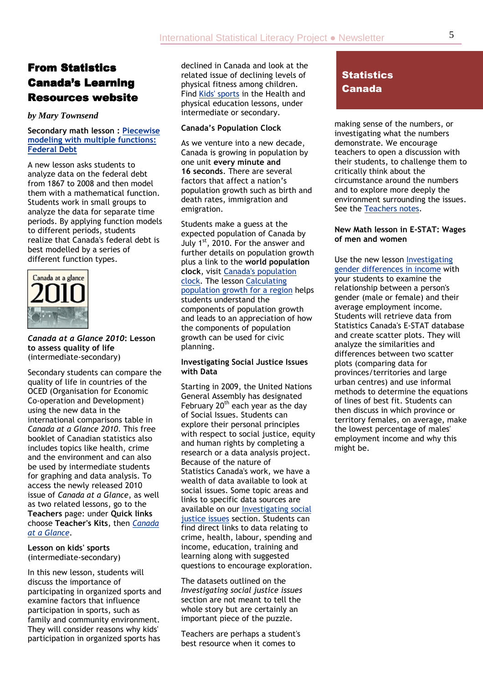# From Statistics Canada's Learning **Resources website**

#### *by Mary Townsend*

#### Secondary math lesson : Piecewise modeling with multiple functions: Federal Debt

A new lesson asks students to analyze data on the federal debt from 1867 to 2008 and then model them with a mathematical function. Students work in small groups to analyze the data for separate time periods. By applying function models to different periods, students realize that Canada's federal debt is best modelled by a series of different function types.



#### Canada at a Glance 2010: Lesson to assess quality of life (intermediate-secondary)

Secondary students can compare the quality of life in countries of the OCED (Organisation for Economic Co-operation and Development) using the new data in the international comparisons table in Canada at a Glance 2010. This free booklet of Canadian statistics also includes topics like health, crime and the environment and can also be used by intermediate students for graphing and data analysis. To access the newly released 2010 issue of Canada at a Glance, as well as two related lessons, go to the Teachers page: under Quick links choose Teacher's Kits, then Canada at a Glance.

Lesson on kids' sports (intermediate-secondary)

In this new lesson, students will discuss the importance of participating in organized sports and examine factors that influence participation in sports, such as family and community environment. They will consider reasons why kids' participation in organized sports has

declined in Canada and look at the related issue of declining levels of physical fitness among children. Find Kids' sports in the Health and physical education lessons, under intermediate or secondary.

#### Canada's Population Clock

As we venture into a new decade, Canada is growing in population by one unit every minute and 16 seconds. There are several factors that affect a nation's population growth such as birth and death rates, immigration and emigration.

Students make a guess at the expected population of Canada by July 1st, 2010. For the answer and further details on population growth plus a link to the world population clock, visit Canada's population clock. The lesson Calculating population growth for a region helps students understand the components of population growth and leads to an appreciation of how the components of population growth can be used for civic planning.

#### Investigating Social Justice Issues with Data

Starting in 2009, the United Nations General Assembly has designated February 20<sup>th</sup> each year as the day of Social Issues. Students can explore their personal principles with respect to social justice, equity and human rights by completing a research or a data analysis project. Because of the nature of Statistics Canada's work, we have a wealth of data available to look at social issues. Some topic areas and links to specific data sources are available on our Investigating social justice issues section. Students can find direct links to data relating to crime, health, labour, spending and income, education, training and learning along with suggested questions to encourage exploration.

The datasets outlined on the Investigating social justice issues section are not meant to tell the whole story but are certainly an important piece of the puzzle.

Teachers are perhaps a student's best resource when it comes to

# **Statistics** Canada

making sense of the numbers, or investigating what the numbers demonstrate. We encourage teachers to open a discussion with their students, to challenge them to critically think about the circumstance around the numbers and to explore more deeply the environment surrounding the issues. See the Teachers notes.

#### New Math lesson in E-STAT: Wages of men and women

Use the new lesson Investigating gender differences in income with your students to examine the relationship between a person's gender (male or female) and their average employment income. Students will retrieve data from Statistics Canada's E-STAT database and create scatter plots. They will analyze the similarities and differences between two scatter plots (comparing data for provinces/territories and large urban centres) and use informal methods to determine the equations of lines of best fit. Students can then discuss in which province or territory females, on average, make the lowest percentage of males' employment income and why this might be.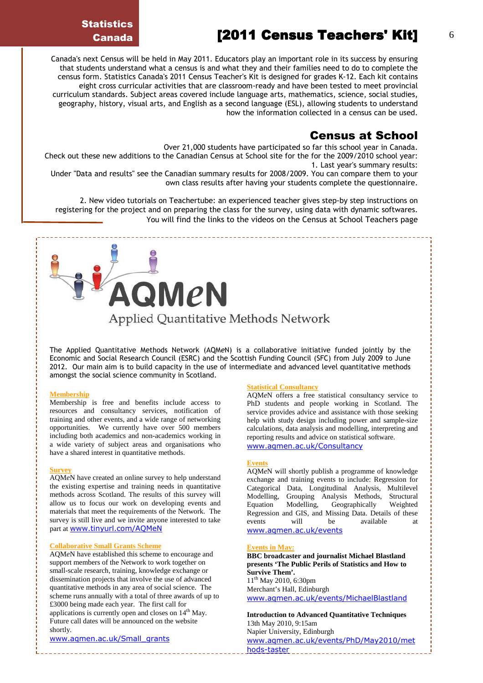# $[2011$  Census Teachers' Kit]  $[6]$

**Statistics** Canada

Canada's next Census will be held in May 2011. Educators play an important role in its success by ensuring that students understand what a census is and what they and their families need to do to complete the census form. Statistics Canada's 2011 Census Teacher's Kit is designed for grades K-12. Each kit contains eight cross curricular activities that are classroom-ready and have been tested to meet provincial curriculum standards. Subject areas covered include language arts, mathematics, science, social studies, geography, history, visual arts, and English as a second language (ESL), allowing students to understand how the information collected in a census can be used.

#### Census at School

Over 21,000 students have participated so far this school year in Canada.

Check out these new additions to the Canadian Census at School site for the for the 2009/2010 school year: 1. Last year's summary results:

Under "Data and results" see the Canadian summary results for 2008/2009. You can compare them to your own class results after having your students complete the questionnaire.

2. New video tutorials on Teachertube: an experienced teacher gives step-by step instructions on registering for the project and on preparing the class for the survey, using data with dynamic softwares. You will find the links to the videos on the Census at School Teachers page

The Applied Quantitative Methods Network (AQMeN) is a collaborative initiative funded jointly by the Economic and Social Research Council (ESRC) and the Scottish Funding Council (SFC) from July 2009 to June 2012. Our main aim is to build capacity in the use of intermediate and advanced level quantitative methods

Applied Quantitative Methods Network

QMeN

amongst the social science community in Scotland.

#### **Membership**

Membership is free and benefits include access to resources and consultancy services, notification of training and other events, and a wide range of networking opportunities. We currently have over 500 members including both academics and non-academics working in a wide variety of subject areas and organisations who have a shared interest in quantitative methods.

#### **Survey**

AQM*e*N have created an online survey to help understand the existing expertise and training needs in quantitative methods across Scotland. The results of this survey will allow us to focus our work on developing events and materials that meet the requirements of the Network. The survey is still live and we invite anyone interested to take part at www.tinyurl.com/AQMeN

#### **Collaborative Small Grants Scheme**

AQM*e*N have established this scheme to encourage and support members of the Network to work together on small-scale research, training, knowledge exchange or dissemination projects that involve the use of advanced quantitative methods in any area of social science. The scheme runs annually with a total of three awards of up to £3000 being made each year. The first call for applications is currently open and closes on 14th May. Future call dates will be announced on the website shortly.

www.aqmen.ac.uk/Small\_grants

#### **Statistical Consultancy**

AQM*e*N offers a free statistical consultancy service to PhD students and people working in Scotland. The service provides advice and assistance with those seeking help with study design including power and sample-size calculations, data analysis and modelling, interpreting and reporting results and advice on statistical software. www.aqmen.ac.uk/Consultancy

#### **Events**

AQM*e*N will shortly publish a programme of knowledge exchange and training events to include: Regression for Categorical Data, Longitudinal Analysis, Multilevel Modelling, Grouping Analysis Methods, Structural Equation Modelling, Geographically Weighted Regression and GIS, and Missing Data. Details of these events will be available at www.aqmen.ac.uk/events

#### **Events in May:**

**BBC broadcaster and journalist Michael Blastland presents 'The Public Perils of Statistics and How to Survive Them'.**   $11^{th}$  May 2010, 6:30pm Merchant's Hall, Edinburgh www.aqmen.ac.uk/events/MichaelBlastland

**Introduction to Advanced Quantitative Techniques**  13th May 2010, 9:15am Napier University, Edinburgh www.aqmen.ac.uk/events/PhD/May2010/met hods-taster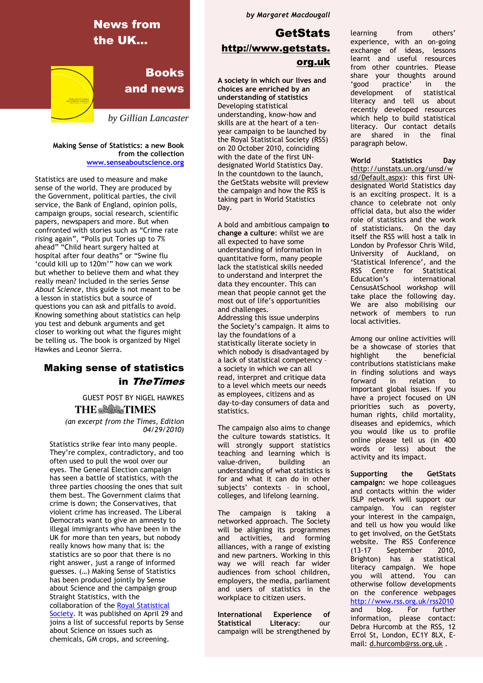

Making Sense of Statistics: a new Book from the collection www.senseaboutscience.org

Statistics are used to measure and make sense of the world. They are produced by the Government, political parties, the civil service, the Bank of England, opinion polls, campaign groups, social research, scientific papers, newspapers and more. But when confronted with stories such as "Crime rate rising again", "Polls put Tories up to 7% ahead" "Child heart surgery halted at hospital after four deaths" or "Swine flu 'could kill up to 120m'" how can we work but whether to believe them and what they really mean? Included in the series Sense About Science, this guide is not meant to be a lesson in statistics but a source of questions you can ask and pitfalls to avoid. Knowing something about statistics can help you test and debunk arguments and get closer to working out what the figures might be telling us. The book is organized by Nigel Hawkes and Leonor Sierra.

#### Making sense of statistics in TheTimes

GUEST POST BY NIGEL HAWKES **THE SEE TIMES** 

 (an excerpt from the Times, Edition 04/29/2010)

Statistics strike fear into many people. They're complex, contradictory, and too often used to pull the wool over our eyes. The General Election campaign has seen a battle of statistics, with the three parties choosing the ones that suit them best. The Government claims that crime is down; the Conservatives, that violent crime has increased. The Liberal Democrats want to give an amnesty to illegal immigrants who have been in the UK for more than ten years, but nobody really knows how many that is: the statistics are so poor that there is no right answer, just a range of informed guesses. (…) Making Sense of Statistics has been produced jointly by Sense about Science and the campaign group Straight Statistics, with the collaboration of the Royal Statistical Society. It was published on April 29 and joins a list of successful reports by Sense about Science on issues such as chemicals, GM crops, and screening.

by Margaret Macdougall

# **GetStats** http://www.getstats. org.uk

A society in which our lives and choices are enriched by an understanding of statistics Developing statistical understanding, know-how and skills are at the heart of a tenyear campaign to be launched by the Royal Statistical Society (RSS) on 20 October 2010, coinciding with the date of the first UNdesignated World Statistics Day. In the countdown to the launch, the GetStats website will preview the campaign and how the RSS is taking part in World Statistics Day.

A bold and ambitious campaign to change a culture: whilst we are all expected to have some understanding of information in quantitative form, many people lack the statistical skills needed to understand and interpret the data they encounter. This can mean that people cannot get the most out of life's opportunities and challenges.

Addressing this issue underpins the Society's campaign. It aims to lay the foundations of a statistically literate society in which nobody is disadvantaged by a lack of statistical competency – a society in which we can all read, interpret and critique data to a level which meets our needs as employees, citizens and as day-to-day consumers of data and statistics.

The campaign also aims to change the culture towards statistics. It will strongly support statistics teaching and learning which is value-driven, building an understanding of what statistics is for and what it can do in other subjects' contexts – in school, colleges, and lifelong learning.

The campaign is taking a networked approach. The Society will be aligning its programmes and activities, and forming alliances, with a range of existing and new partners. Working in this way we will reach far wider audiences from school children, employers, the media, parliament and users of statistics in the workplace to citizen users.

International Experience of Statistical Literacy: our campaign will be strengthened by

others' learning from experience, with an on-going exchange of ideas, lessons learnt and useful resources from other countries. Please share your thoughts around 'good practice' in the development of statistical literacy and tell us about recently developed resources which help to build statistical literacy. Our contact details<br>are shared in the final  $are$  shared in the paragraph below.

World Statistics Day (http://unstats.un.org/unsd/w sd/Default.aspx): this first UNdesignated World Statistics day is an exciting prospect. It is a chance to celebrate not only official data, but also the wider role of statistics and the work of statisticians. On the day itself the RSS will host a talk in London by Professor Chris Wild, University of Auckland, on 'Statistical Inference', and the RSS Centre for Statistical Education's international CensusAtSchool workshop will take place the following day. We are also mobilising our network of members to run local activities.

Among our online activities will be a showcase of stories that highlight the beneficial contributions statisticians make in finding solutions and ways<br>forward in relation to in relation to important global issues. If you have a project focused on UN priorities such as poverty, human rights, child mortality, diseases and epidemics, which you would like us to profile online please tell us (in 400 words or less) about the activity and its impact.

Supporting the GetStats campaign: we hope colleagues and contacts within the wider ISLP network will support our campaign. You can register your interest in the campaign, and tell us how you would like to get involved, on the GetStats website. The RSS Conference (13-17 September 2010, Brighton) has a statistical literacy campaign. We hope you will attend. You can otherwise follow developments on the conference webpages http://www.rss.org.uk/rss2010 and blog. For further information, please contact: Debra Hurcomb at the RSS, 12 Errol St, London, EC1Y 8LX, Email: d.hurcomb@rss.org.uk .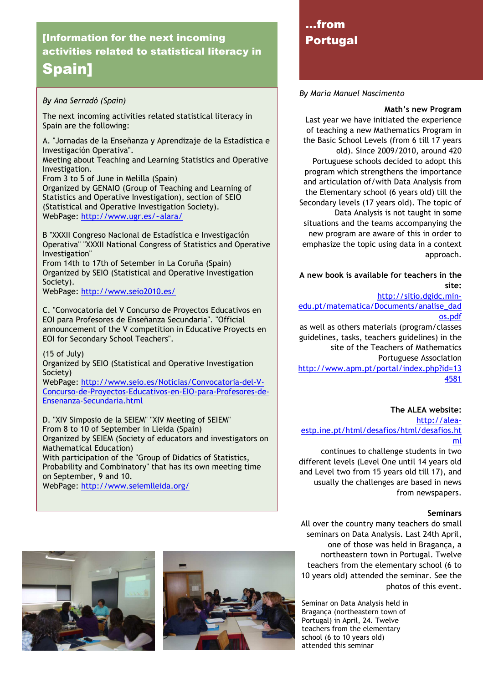# [Information for the next incoming activities related to statistical literacy in Spain]

#### By Ana Serradó (Spain)

The next incoming activities related statistical literacy in Spain are the following:

A. "Jornadas de la Enseñanza y Aprendizaje de la Estadística e Investigación Operativa". Meeting about Teaching and Learning Statistics and Operative Investigation. From 3 to 5 of June in Melilla (Spain) Organized by GENAIO (Group of Teaching and Learning of

Statistics and Operative Investigation), section of SEIO (Statistical and Operative Investigation Society). WebPage: http://www.ugr.es/~alara/

B "XXXII Congreso Nacional de Estadística e Investigación Operativa" "XXXII National Congress of Statistics and Operative Investigation"

From 14th to 17th of Setember in La Coruña (Spain) Organized by SEIO (Statistical and Operative Investigation Society).

WebPage: http://www.seio2010.es/

C. "Convocatoria del V Concurso de Proyectos Educativos en EOI para Profesores de Enseñanza Secundaria". "Official announcement of the V competition in Educative Proyects en EOI for Secondary School Teachers".

(15 of July)

Organized by SEIO (Statistical and Operative Investigation Society)

WebPage: http://www.seio.es/Noticias/Convocatoria-del-V-Concurso-de-Proyectos-Educativos-en-EIO-para-Profesores-de-Ensenanza-Secundaria.html

D. "XIV Simposio de la SEIEM" "XIV Meeting of SEIEM" From 8 to 10 of September in Lleida (Spain) Organized by SEIEM (Society of educators and investigators on Mathematical Education) With participation of the "Group of Didatics of Statistics, Probability and Combinatory" that has its own meeting time on September, 9 and 10. WebPage: http://www.seiemlleida.org/





# …from Portugal

#### By Maria Manuel Nascimento

#### Math's new Program

Last year we have initiated the experience of teaching a new Mathematics Program in the Basic School Levels (from 6 till 17 years old). Since 2009/2010, around 420 Portuguese schools decided to adopt this program which strengthens the importance and articulation of/with Data Analysis from the Elementary school (6 years old) till the Secondary levels (17 years old). The topic of Data Analysis is not taught in some situations and the teams accompanying the new program are aware of this in order to emphasize the topic using data in a context approach.

A new book is available for teachers in the site:

http://sitio.dgidc.min-

edu.pt/matematica/Documents/analise\_dad os.pdf

as well as others materials (program/classes guidelines, tasks, teachers guidelines) in the site of the Teachers of Mathematics Portuguese Association http://www.apm.pt/portal/index.php?id=13 4581

#### The ALEA website:

http://aleaestp.ine.pt/html/desafios/html/desafios.ht ml

continues to challenge students in two different levels (Level One until 14 years old and Level two from 15 years old till 17), and usually the challenges are based in news from newspapers.

#### **Seminars**

All over the country many teachers do small seminars on Data Analysis. Last 24th April, one of those was held in Bragança, a northeastern town in Portugal. Twelve teachers from the elementary school (6 to 10 years old) attended the seminar. See the photos of this event.

Seminar on Data Analysis held in Bragança (northeastern town of Portugal) in April, 24. Twelve teachers from the elementary school (6 to 10 years old) attended this seminar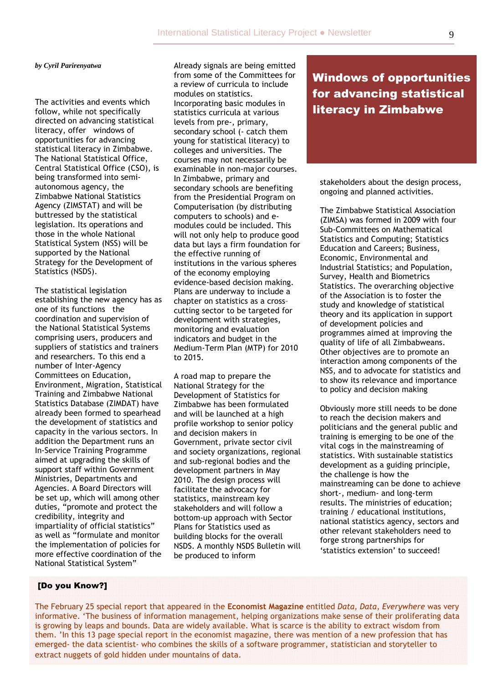#### *by Cyril Parirenyatwa*

The activities and events which follow, while not specifically directed on advancing statistical literacy, offer windows of opportunities for advancing statistical literacy in Zimbabwe. The National Statistical Office, Central Statistical Office (CSO), is being transformed into semiautonomous agency, the Zimbabwe National Statistics Agency (ZIMSTAT) and will be buttressed by the statistical legislation. Its operations and those in the whole National Statistical System (NSS) will be supported by the National Strategy for the Development of Statistics (NSDS).

The statistical legislation establishing the new agency has as one of its functions the coordination and supervision of the National Statistical Systems comprising users, producers and suppliers of statistics and trainers and researchers. To this end a number of Inter-Agency Committees on Education, Environment, Migration, Statistical Training and Zimbabwe National Statistics Database (ZIMDAT) have already been formed to spearhead the development of statistics and capacity in the various sectors. In addition the Department runs an In-Service Training Programme aimed at upgrading the skills of support staff within Government Ministries, Departments and Agencies. A Board Directors will be set up, which will among other duties, "promote and protect the credibility, integrity and impartiality of official statistics" as well as "formulate and monitor the implementation of policies for more effective coordination of the National Statistical System"

Already signals are being emitted from some of the Committees for a review of curricula to include modules on statistics. Incorporating basic modules in statistics curricula at various levels from pre-, primary, secondary school (- catch them young for statistical literacy) to colleges and universities. The courses may not necessarily be examinable in non-major courses. In Zimbabwe, primary and secondary schools are benefiting from the Presidential Program on Computerisation (by distributing computers to schools) and emodules could be included. This will not only help to produce good data but lays a firm foundation for the effective running of institutions in the various spheres of the economy employing evidence-based decision making. Plans are underway to include a chapter on statistics as a cross– cutting sector to be targeted for development with strategies, monitoring and evaluation indicators and budget in the Medium-Term Plan (MTP) for 2010 to 2015.

A road map to prepare the National Strategy for the Development of Statistics for Zimbabwe has been formulated and will be launched at a high profile workshop to senior policy and decision makers in Government, private sector civil and society organizations, regional and sub-regional bodies and the development partners in May 2010. The design process will facilitate the advocacy for statistics, mainstream key stakeholders and will follow a bottom-up approach with Sector Plans for Statistics used as building blocks for the overall NSDS. A monthly NSDS Bulletin will be produced to inform

# Windows of opportunities for advancing statistical literacy in Zimbabwe

stakeholders about the design process, ongoing and planned activities.

The Zimbabwe Statistical Association (ZIMSA) was formed in 2009 with four Sub-Committees on Mathematical Statistics and Computing; Statistics Education and Careers; Business, Economic, Environmental and Industrial Statistics; and Population, Survey, Health and Biometrics Statistics. The overarching objective of the Association is to foster the study and knowledge of statistical theory and its application in support of development policies and programmes aimed at improving the quality of life of all Zimbabweans. Other objectives are to promote an interaction among components of the NSS, and to advocate for statistics and to show its relevance and importance to policy and decision making

Obviously more still needs to be done to reach the decision makers and politicians and the general public and training is emerging to be one of the vital cogs in the mainstreaming of statistics. With sustainable statistics development as a guiding principle, the challenge is how the mainstreaming can be done to achieve short-, medium- and long-term results. The ministries of education; training / educational institutions, national statistics agency, sectors and other relevant stakeholders need to forge strong partnerships for 'statistics extension' to succeed!

#### [Do you Know?]

The February 25 special report that appeared in the Economist Magazine entitled Data, Data, Everywhere was very informative. 'The business of information management, helping organizations make sense of their proliferating data is growing by leaps and bounds. Data are widely available. What is scarce is the ability to extract wisdom from them. 'In this 13 page special report in the economist magazine, there was mention of a new profession that has emerged- the data scientist- who combines the skills of a software programmer, statistician and storyteller to extract nuggets of gold hidden under mountains of data.